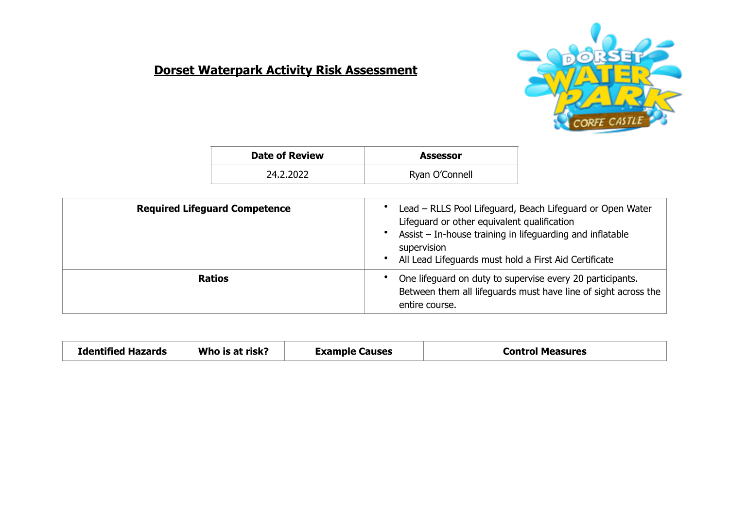## **Dorset Waterpark Activity Risk Assessment**



| <b>Date of Review</b> | <b>Assessor</b> |
|-----------------------|-----------------|
| 24.2.2022             | Ryan O'Connell  |

| <b>Required Lifeguard Competence</b> | Lead - RLLS Pool Lifeguard, Beach Lifeguard or Open Water<br>Lifeguard or other equivalent qualification<br>Assist – In-house training in lifeguarding and inflatable<br>supervision<br>All Lead Lifeguards must hold a First Aid Certificate |
|--------------------------------------|-----------------------------------------------------------------------------------------------------------------------------------------------------------------------------------------------------------------------------------------------|
| <b>Ratios</b>                        | One lifeguard on duty to supervise every 20 participants.<br>Between them all lifeguards must have line of sight across the<br>entire course.                                                                                                 |

| Who is at risk?<br><b>Identified Hazards</b> | Example Causes | Control Measures |
|----------------------------------------------|----------------|------------------|
|----------------------------------------------|----------------|------------------|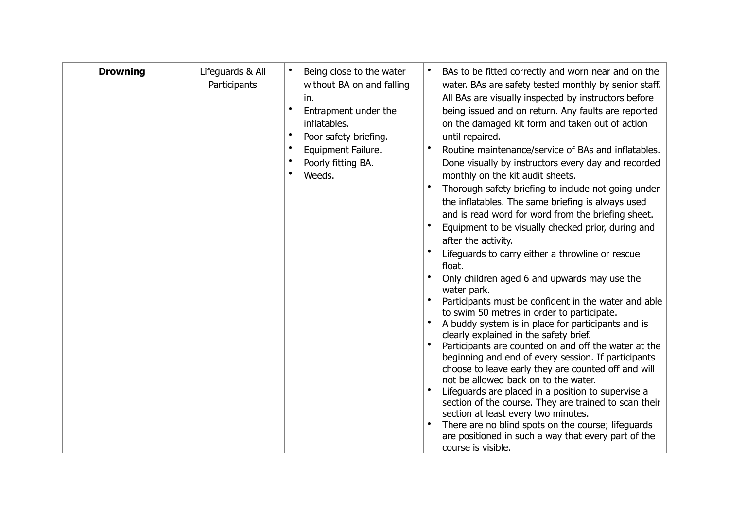| <b>Drowning</b> | Lifeguards & All<br>Participants | Being close to the water<br>without BA on and falling<br>in.<br>$\bullet$<br>Entrapment under the<br>inflatables.<br>Poor safety briefing.<br>Equipment Failure.<br>Poorly fitting BA.<br>Weeds. | BAs to be fitted correctly and worn near and on the<br>water. BAs are safety tested monthly by senior staff.<br>All BAs are visually inspected by instructors before<br>being issued and on return. Any faults are reported<br>on the damaged kit form and taken out of action<br>until repaired.<br>Routine maintenance/service of BAs and inflatables.<br>Done visually by instructors every day and recorded<br>monthly on the kit audit sheets.<br>Thorough safety briefing to include not going under<br>the inflatables. The same briefing is always used<br>and is read word for word from the briefing sheet.<br>Equipment to be visually checked prior, during and<br>after the activity.<br>Lifeguards to carry either a throwline or rescue<br>float.<br>Only children aged 6 and upwards may use the<br>water park.<br>Participants must be confident in the water and able<br>to swim 50 metres in order to participate.<br>A buddy system is in place for participants and is<br>clearly explained in the safety brief.<br>Participants are counted on and off the water at the<br>beginning and end of every session. If participants<br>choose to leave early they are counted off and will<br>not be allowed back on to the water.<br>Lifeguards are placed in a position to supervise a<br>section of the course. They are trained to scan their<br>section at least every two minutes.<br>There are no blind spots on the course; lifeguards<br>are positioned in such a way that every part of the<br>course is visible. |
|-----------------|----------------------------------|--------------------------------------------------------------------------------------------------------------------------------------------------------------------------------------------------|----------------------------------------------------------------------------------------------------------------------------------------------------------------------------------------------------------------------------------------------------------------------------------------------------------------------------------------------------------------------------------------------------------------------------------------------------------------------------------------------------------------------------------------------------------------------------------------------------------------------------------------------------------------------------------------------------------------------------------------------------------------------------------------------------------------------------------------------------------------------------------------------------------------------------------------------------------------------------------------------------------------------------------------------------------------------------------------------------------------------------------------------------------------------------------------------------------------------------------------------------------------------------------------------------------------------------------------------------------------------------------------------------------------------------------------------------------------------------------------------------------------------------------------------|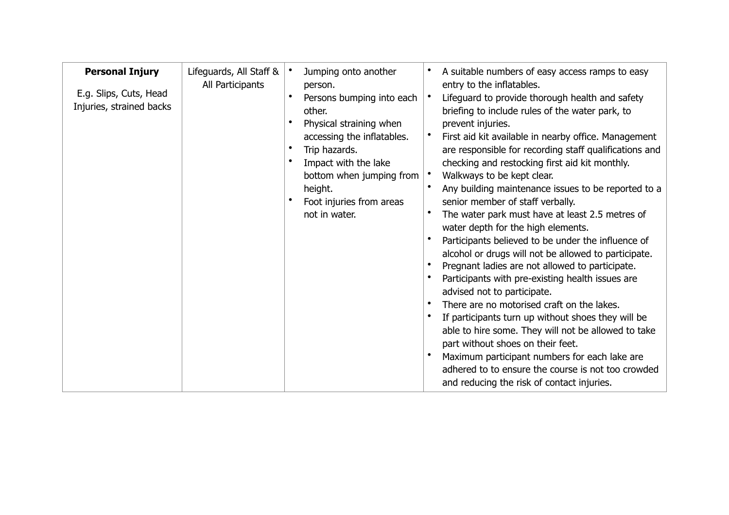| <b>Personal Injury</b><br>E.g. Slips, Cuts, Head<br>Injuries, strained backs | Lifeguards, All Staff &<br>All Participants | Jumping onto another<br>person.<br>Persons bumping into each<br>other.<br>Physical straining when<br>accessing the inflatables.<br>Trip hazards.<br>Impact with the lake<br>bottom when jumping from<br>height.<br>Foot injuries from areas<br>not in water. | A suitable numbers of easy access ramps to easy<br>entry to the inflatables.<br>Lifeguard to provide thorough health and safety<br>briefing to include rules of the water park, to<br>prevent injuries.<br>First aid kit available in nearby office. Management<br>are responsible for recording staff qualifications and<br>checking and restocking first aid kit monthly.<br>Walkways to be kept clear.<br>Any building maintenance issues to be reported to a<br>senior member of staff verbally.<br>The water park must have at least 2.5 metres of<br>water depth for the high elements.<br>Participants believed to be under the influence of<br>alcohol or drugs will not be allowed to participate.<br>Pregnant ladies are not allowed to participate.<br>Participants with pre-existing health issues are<br>advised not to participate.<br>There are no motorised craft on the lakes.<br>If participants turn up without shoes they will be<br>able to hire some. They will not be allowed to take<br>part without shoes on their feet.<br>Maximum participant numbers for each lake are<br>adhered to to ensure the course is not too crowded<br>and reducing the risk of contact injuries. |
|------------------------------------------------------------------------------|---------------------------------------------|--------------------------------------------------------------------------------------------------------------------------------------------------------------------------------------------------------------------------------------------------------------|--------------------------------------------------------------------------------------------------------------------------------------------------------------------------------------------------------------------------------------------------------------------------------------------------------------------------------------------------------------------------------------------------------------------------------------------------------------------------------------------------------------------------------------------------------------------------------------------------------------------------------------------------------------------------------------------------------------------------------------------------------------------------------------------------------------------------------------------------------------------------------------------------------------------------------------------------------------------------------------------------------------------------------------------------------------------------------------------------------------------------------------------------------------------------------------------------------|
|------------------------------------------------------------------------------|---------------------------------------------|--------------------------------------------------------------------------------------------------------------------------------------------------------------------------------------------------------------------------------------------------------------|--------------------------------------------------------------------------------------------------------------------------------------------------------------------------------------------------------------------------------------------------------------------------------------------------------------------------------------------------------------------------------------------------------------------------------------------------------------------------------------------------------------------------------------------------------------------------------------------------------------------------------------------------------------------------------------------------------------------------------------------------------------------------------------------------------------------------------------------------------------------------------------------------------------------------------------------------------------------------------------------------------------------------------------------------------------------------------------------------------------------------------------------------------------------------------------------------------|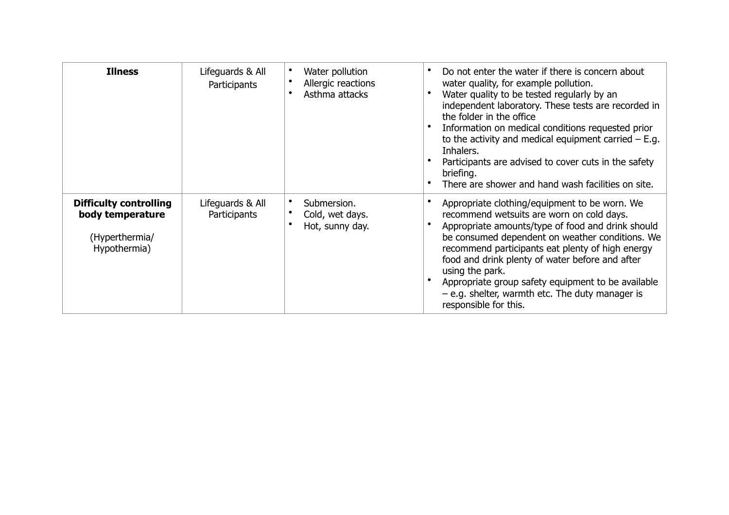| <b>Illness</b>                                                                      | Lifeguards & All<br>Participants | Water pollution<br>Allergic reactions<br>Asthma attacks | Do not enter the water if there is concern about<br>water quality, for example pollution.<br>Water quality to be tested regularly by an<br>independent laboratory. These tests are recorded in<br>the folder in the office<br>Information on medical conditions requested prior<br>to the activity and medical equipment carried $-$ E.g.<br>Inhalers.<br>Participants are advised to cover cuts in the safety<br>briefing.<br>There are shower and hand wash facilities on site. |
|-------------------------------------------------------------------------------------|----------------------------------|---------------------------------------------------------|-----------------------------------------------------------------------------------------------------------------------------------------------------------------------------------------------------------------------------------------------------------------------------------------------------------------------------------------------------------------------------------------------------------------------------------------------------------------------------------|
| <b>Difficulty controlling</b><br>body temperature<br>(Hyperthermia/<br>Hypothermia) | Lifequards & All<br>Participants | Submersion.<br>Cold, wet days.<br>Hot, sunny day.       | Appropriate clothing/equipment to be worn. We<br>recommend wetsuits are worn on cold days.<br>Appropriate amounts/type of food and drink should<br>be consumed dependent on weather conditions. We<br>recommend participants eat plenty of high energy<br>food and drink plenty of water before and after<br>using the park.<br>Appropriate group safety equipment to be available<br>$-$ e.g. shelter, warmth etc. The duty manager is<br>responsible for this.                  |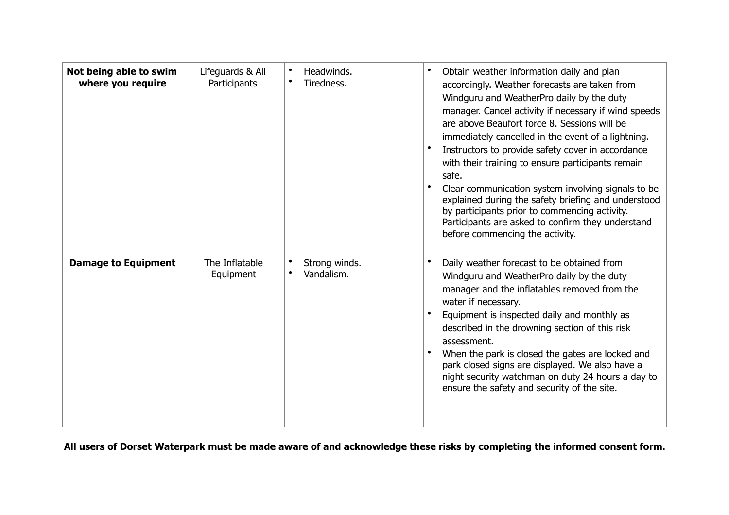| Not being able to swim<br>where you require | Lifeguards & All<br>Participants | Headwinds.<br>Tiredness.    | Obtain weather information daily and plan<br>accordingly. Weather forecasts are taken from<br>Windguru and WeatherPro daily by the duty<br>manager. Cancel activity if necessary if wind speeds<br>are above Beaufort force 8. Sessions will be<br>immediately cancelled in the event of a lightning.<br>Instructors to provide safety cover in accordance<br>with their training to ensure participants remain<br>safe.<br>Clear communication system involving signals to be<br>explained during the safety briefing and understood<br>by participants prior to commencing activity.<br>Participants are asked to confirm they understand<br>before commencing the activity. |
|---------------------------------------------|----------------------------------|-----------------------------|--------------------------------------------------------------------------------------------------------------------------------------------------------------------------------------------------------------------------------------------------------------------------------------------------------------------------------------------------------------------------------------------------------------------------------------------------------------------------------------------------------------------------------------------------------------------------------------------------------------------------------------------------------------------------------|
| <b>Damage to Equipment</b>                  | The Inflatable<br>Equipment      | Strong winds.<br>Vandalism. | Daily weather forecast to be obtained from<br>Windguru and WeatherPro daily by the duty<br>manager and the inflatables removed from the<br>water if necessary.<br>Equipment is inspected daily and monthly as<br>described in the drowning section of this risk<br>assessment.<br>When the park is closed the gates are locked and<br>park closed signs are displayed. We also have a<br>night security watchman on duty 24 hours a day to<br>ensure the safety and security of the site.                                                                                                                                                                                      |
|                                             |                                  |                             |                                                                                                                                                                                                                                                                                                                                                                                                                                                                                                                                                                                                                                                                                |

**All users of Dorset Waterpark must be made aware of and acknowledge these risks by completing the informed consent form.**